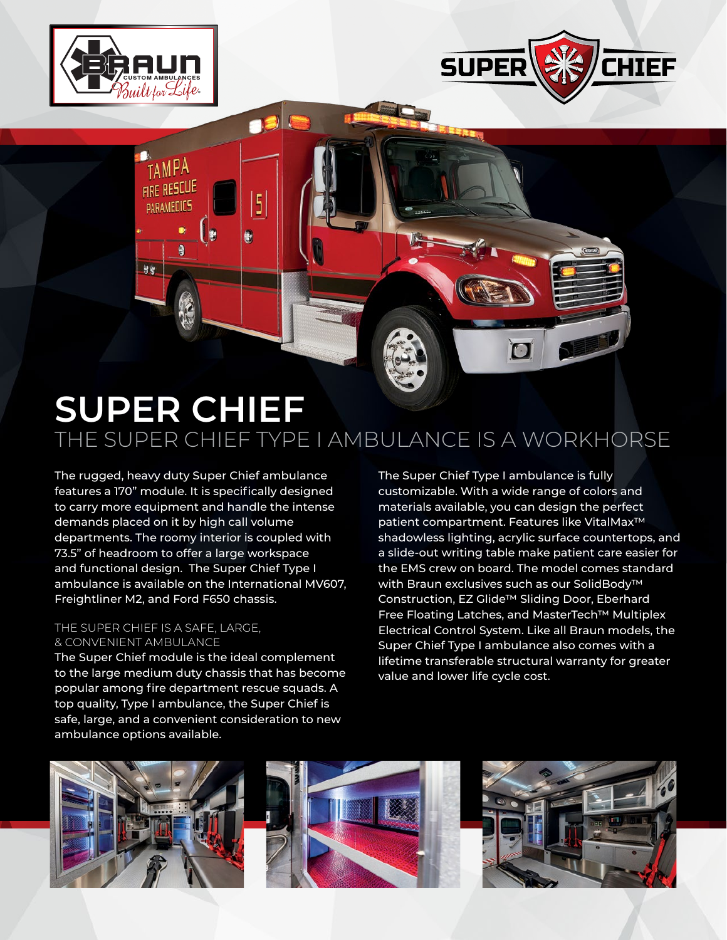

TAMPA FIRE RESCUE

PARAMEDICS

98

 $\ddot{a}$ 

 $\overline{5}$ 

Ø



## **SUPER CHIEF** THE SUPER CHIEF TYPE I AMBULANCE IS A WORKHORSE

The rugged, heavy duty Super Chief ambulance features a 170" module. It is specifically designed to carry more equipment and handle the intense demands placed on it by high call volume departments. The roomy interior is coupled with 73.5" of headroom to offer a large workspace and functional design. The Super Chief Type I ambulance is available on the International MV607, Freightliner M2, and Ford F650 chassis.

## THE SUPER CHIEF IS A SAFE, LARGE, & CONVENIENT AMBULANCE

The Super Chief module is the ideal complement to the large medium duty chassis that has become popular among fire department rescue squads. A top quality, Type I ambulance, the Super Chief is safe, large, and a convenient consideration to new ambulance options available.

The Super Chief Type I ambulance is fully customizable. With a wide range of colors and materials available, you can design the perfect patient compartment. Features like VitalMax™ shadowless lighting, acrylic surface countertops, and a slide-out writing table make patient care easier for the EMS crew on board. The model comes standard with Braun exclusives such as our SolidBody™ Construction, EZ Glide™ Sliding Door, Eberhard Free Floating Latches, and MasterTech™ Multiplex Electrical Control System. Like all Braun models, the Super Chief Type I ambulance also comes with a lifetime transferable structural warranty for greater value and lower life cycle cost.

 $\blacksquare$